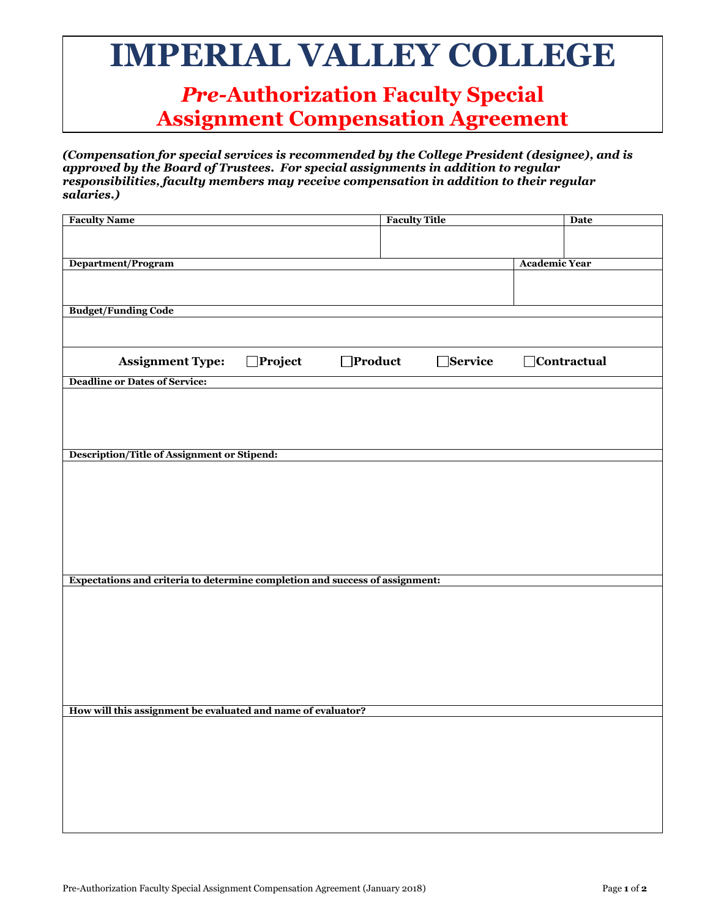## **IMPERIAL VALLEY COLLEGE**

## *Pre-***Authorization Faculty Special Assignment Compensation Agreement**

*(Compensation for special services is recommended by the College President (designee), and is approved by the Board of Trustees. For special assignments in addition to regular responsibilities, faculty members may receive compensation in addition to their regular salaries.)* 

| <b>Faculty Name</b>                                                          | <b>Faculty Title</b> | <b>Date</b>          |
|------------------------------------------------------------------------------|----------------------|----------------------|
|                                                                              |                      |                      |
|                                                                              |                      |                      |
|                                                                              |                      |                      |
| Department/Program                                                           |                      | <b>Academic Year</b> |
|                                                                              |                      |                      |
|                                                                              |                      |                      |
| <b>Budget/Funding Code</b>                                                   |                      |                      |
|                                                                              |                      |                      |
|                                                                              |                      |                      |
|                                                                              |                      |                      |
| $\Box$ Project<br>$\Box$ Product<br><b>Assignment Type:</b>                  | □Service             | <b>Contractual</b>   |
|                                                                              |                      |                      |
| <b>Deadline or Dates of Service:</b>                                         |                      |                      |
|                                                                              |                      |                      |
|                                                                              |                      |                      |
|                                                                              |                      |                      |
|                                                                              |                      |                      |
|                                                                              |                      |                      |
| Description/Title of Assignment or Stipend:                                  |                      |                      |
|                                                                              |                      |                      |
|                                                                              |                      |                      |
|                                                                              |                      |                      |
|                                                                              |                      |                      |
|                                                                              |                      |                      |
|                                                                              |                      |                      |
|                                                                              |                      |                      |
|                                                                              |                      |                      |
|                                                                              |                      |                      |
| Expectations and criteria to determine completion and success of assignment: |                      |                      |
|                                                                              |                      |                      |
|                                                                              |                      |                      |
|                                                                              |                      |                      |
|                                                                              |                      |                      |
|                                                                              |                      |                      |
|                                                                              |                      |                      |
|                                                                              |                      |                      |
|                                                                              |                      |                      |
|                                                                              |                      |                      |
|                                                                              |                      |                      |
| How will this assignment be evaluated and name of evaluator?                 |                      |                      |
|                                                                              |                      |                      |
|                                                                              |                      |                      |
|                                                                              |                      |                      |
|                                                                              |                      |                      |
|                                                                              |                      |                      |
|                                                                              |                      |                      |
|                                                                              |                      |                      |
|                                                                              |                      |                      |
|                                                                              |                      |                      |
|                                                                              |                      |                      |